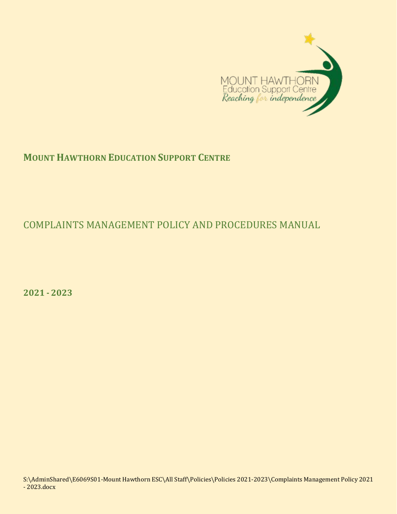

# **MOUNT HAWTHORN EDUCATION SUPPORT CENTRE**

# COMPLAINTS MANAGEMENT POLICY AND PROCEDURES MANUAL

**2021 - 2023**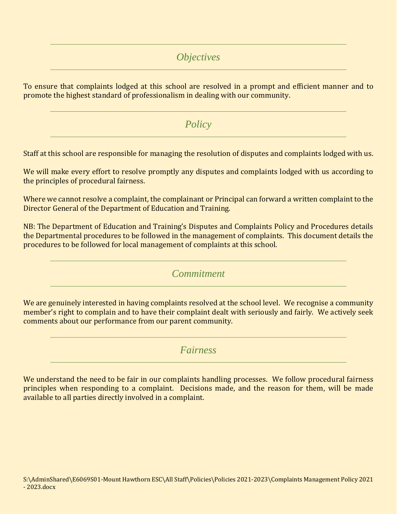# *Objectives*

To ensure that complaints lodged at this school are resolved in a prompt and efficient manner and to promote the highest standard of professionalism in dealing with our community.

*Policy*

Staff at this school are responsible for managing the resolution of disputes and complaints lodged with us.

We will make every effort to resolve promptly any disputes and complaints lodged with us according to the principles of procedural fairness.

Where we cannot resolve a complaint, the complainant or Principal can forward a written complaint to the Director General of the Department of Education and Training.

NB: The Department of Education and Training's Disputes and Complaints Policy and Procedures details the Departmental procedures to be followed in the management of complaints. This document details the procedures to be followed for local management of complaints at this school.

*Commitment*

We are genuinely interested in having complaints resolved at the school level. We recognise a community member's right to complain and to have their complaint dealt with seriously and fairly. We actively seek comments about our performance from our parent community.

## *Fairness*

We understand the need to be fair in our complaints handling processes. We follow procedural fairness principles when responding to a complaint. Decisions made, and the reason for them, will be made available to all parties directly involved in a complaint.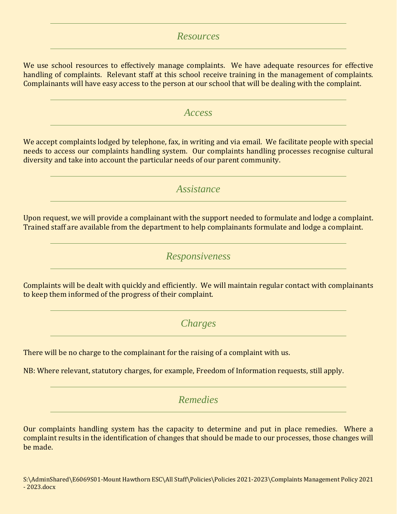## *Resources*

We use school resources to effectively manage complaints. We have adequate resources for effective handling of complaints. Relevant staff at this school receive training in the management of complaints. Complainants will have easy access to the person at our school that will be dealing with the complaint.

## *Access*

We accept complaints lodged by telephone, fax, in writing and via email. We facilitate people with special needs to access our complaints handling system. Our complaints handling processes recognise cultural diversity and take into account the particular needs of our parent community.

## *Assistance*

Upon request, we will provide a complainant with the support needed to formulate and lodge a complaint. Trained staff are available from the department to help complainants formulate and lodge a complaint.

## *Responsiveness*

Complaints will be dealt with quickly and efficiently. We will maintain regular contact with complainants to keep them informed of the progress of their complaint.

*Charges*

There will be no charge to the complainant for the raising of a complaint with us.

NB: Where relevant, statutory charges, for example, Freedom of Information requests, still apply.

## *Remedies*

Our complaints handling system has the capacity to determine and put in place remedies. Where a complaint results in the identification of changes that should be made to our processes, those changes will be made.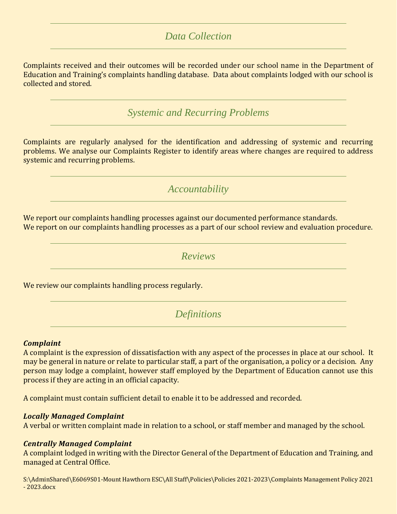## *Data Collection*

Complaints received and their outcomes will be recorded under our school name in the Department of Education and Training's complaints handling database. Data about complaints lodged with our school is collected and stored.

*Systemic and Recurring Problems*

Complaints are regularly analysed for the identification and addressing of systemic and recurring problems. We analyse our Complaints Register to identify areas where changes are required to address systemic and recurring problems.

*Accountability*

We report our complaints handling processes against our documented performance standards. We report on our complaints handling processes as a part of our school review and evaluation procedure.

*Reviews*

We review our complaints handling process regularly.

*Definitions*

#### *Complaint*

A complaint is the expression of dissatisfaction with any aspect of the processes in place at our school. It may be general in nature or relate to particular staff, a part of the organisation, a policy or a decision. Any person may lodge a complaint, however staff employed by the Department of Education cannot use this process if they are acting in an official capacity.

A complaint must contain sufficient detail to enable it to be addressed and recorded.

#### *Locally Managed Complaint*

A verbal or written complaint made in relation to a school, or staff member and managed by the school.

#### *Centrally Managed Complaint*

A complaint lodged in writing with the Director General of the Department of Education and Training, and managed at Central Office.

S:\AdminShared\E6069S01-Mount Hawthorn ESC\All Staff\Policies\Policies 2021-2023\Complaints Management Policy 2021 - 2023.docx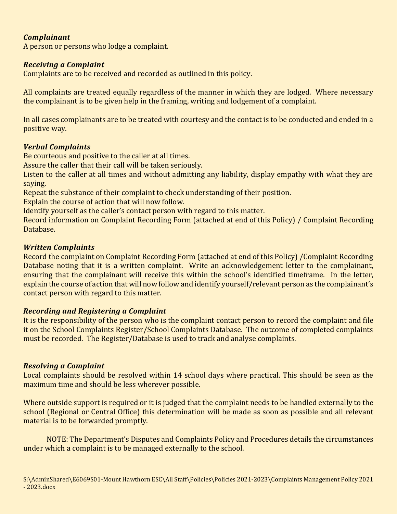#### *Complainant*

A person or persons who lodge a complaint.

#### *Receiving a Complaint*

Complaints are to be received and recorded as outlined in this policy.

All complaints are treated equally regardless of the manner in which they are lodged. Where necessary the complainant is to be given help in the framing, writing and lodgement of a complaint.

In all cases complainants are to be treated with courtesy and the contact is to be conducted and ended in a positive way.

#### *Verbal Complaints*

Be courteous and positive to the caller at all times.

Assure the caller that their call will be taken seriously.

Listen to the caller at all times and without admitting any liability, display empathy with what they are saying.

Repeat the substance of their complaint to check understanding of their position.

Explain the course of action that will now follow.

Identify yourself as the caller's contact person with regard to this matter.

Record information on Complaint Recording Form (attached at end of this Policy) / Complaint Recording Database.

#### *Written Complaints*

Record the complaint on Complaint Recording Form (attached at end of this Policy) /Complaint Recording Database noting that it is a written complaint. Write an acknowledgement letter to the complainant, ensuring that the complainant will receive this within the school's identified timeframe. In the letter, explain the course of action that will now follow and identify yourself/relevant person as the complainant's contact person with regard to this matter.

#### *Recording and Registering a Complaint*

It is the responsibility of the person who is the complaint contact person to record the complaint and file it on the School Complaints Register/School Complaints Database. The outcome of completed complaints must be recorded. The Register/Database is used to track and analyse complaints.

#### *Resolving a Complaint*

Local complaints should be resolved within 14 school days where practical. This should be seen as the maximum time and should be less wherever possible.

Where outside support is required or it is judged that the complaint needs to be handled externally to the school (Regional or Central Office) this determination will be made as soon as possible and all relevant material is to be forwarded promptly.

NOTE: The Department's Disputes and Complaints Policy and Procedures details the circumstances under which a complaint is to be managed externally to the school.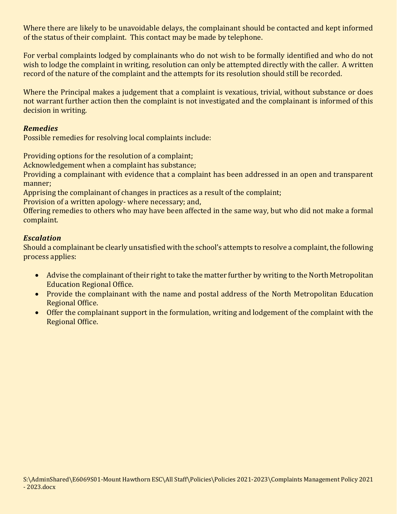Where there are likely to be unavoidable delays, the complainant should be contacted and kept informed of the status of their complaint. This contact may be made by telephone.

For verbal complaints lodged by complainants who do not wish to be formally identified and who do not wish to lodge the complaint in writing, resolution can only be attempted directly with the caller. A written record of the nature of the complaint and the attempts for its resolution should still be recorded.

Where the Principal makes a judgement that a complaint is vexatious, trivial, without substance or does not warrant further action then the complaint is not investigated and the complainant is informed of this decision in writing.

#### *Remedies*

Possible remedies for resolving local complaints include:

Providing options for the resolution of a complaint;

Acknowledgement when a complaint has substance;

Providing a complainant with evidence that a complaint has been addressed in an open and transparent manner;

Apprising the complainant of changes in practices as a result of the complaint;

Provision of a written apology- where necessary; and,

Offering remedies to others who may have been affected in the same way, but who did not make a formal complaint.

#### *Escalation*

Should a complainant be clearly unsatisfied with the school's attempts to resolve a complaint, the following process applies:

- Advise the complainant of their right to take the matter further by writing to the North Metropolitan Education Regional Office.
- Provide the complainant with the name and postal address of the North Metropolitan Education Regional Office.
- Offer the complainant support in the formulation, writing and lodgement of the complaint with the Regional Office.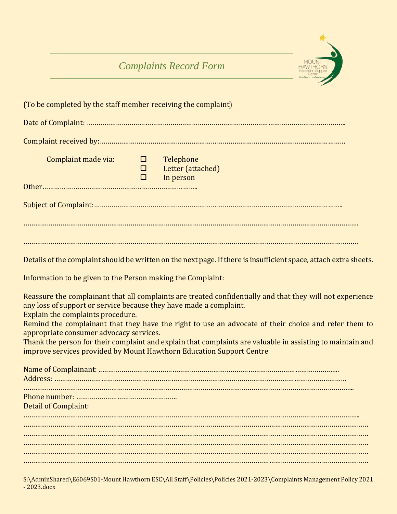# *Complaints Record Form*



| (To be completed by the staff member receiving the complaint)                                                                                      |                                   |                                                                                                                                                                                                                                                                                                                                                                                                         |
|----------------------------------------------------------------------------------------------------------------------------------------------------|-----------------------------------|---------------------------------------------------------------------------------------------------------------------------------------------------------------------------------------------------------------------------------------------------------------------------------------------------------------------------------------------------------------------------------------------------------|
|                                                                                                                                                    |                                   |                                                                                                                                                                                                                                                                                                                                                                                                         |
|                                                                                                                                                    |                                   |                                                                                                                                                                                                                                                                                                                                                                                                         |
| Complaint made via:                                                                                                                                | $\Box$ $\Box$<br>$\Box$<br>$\Box$ | Telephone<br>Letter (attached)<br>In person                                                                                                                                                                                                                                                                                                                                                             |
|                                                                                                                                                    |                                   |                                                                                                                                                                                                                                                                                                                                                                                                         |
|                                                                                                                                                    |                                   |                                                                                                                                                                                                                                                                                                                                                                                                         |
|                                                                                                                                                    |                                   |                                                                                                                                                                                                                                                                                                                                                                                                         |
|                                                                                                                                                    |                                   |                                                                                                                                                                                                                                                                                                                                                                                                         |
|                                                                                                                                                    |                                   | Details of the complaint should be written on the next page. If there is insufficient space, attach extra sheets.                                                                                                                                                                                                                                                                                       |
| Information to be given to the Person making the Complaint:                                                                                        |                                   |                                                                                                                                                                                                                                                                                                                                                                                                         |
| any loss of support or service because they have made a complaint.<br>Explain the complaints procedure.<br>appropriate consumer advocacy services. |                                   | Reassure the complainant that all complaints are treated confidentially and that they will not experience<br>Remind the complainant that they have the right to use an advocate of their choice and refer them to<br>Thank the person for their complaint and explain that complaints are valuable in assisting to maintain and<br>improve services provided by Mount Hawthorn Education Support Centre |
|                                                                                                                                                    |                                   |                                                                                                                                                                                                                                                                                                                                                                                                         |
| <b>Detail of Complaint:</b>                                                                                                                        |                                   |                                                                                                                                                                                                                                                                                                                                                                                                         |
|                                                                                                                                                    |                                   |                                                                                                                                                                                                                                                                                                                                                                                                         |
|                                                                                                                                                    |                                   |                                                                                                                                                                                                                                                                                                                                                                                                         |
|                                                                                                                                                    |                                   |                                                                                                                                                                                                                                                                                                                                                                                                         |
|                                                                                                                                                    |                                   |                                                                                                                                                                                                                                                                                                                                                                                                         |

S:\AdminShared\E6069S01-Mount Hawthorn ESC\All Staff\Policies\Policies 2021-2023\Complaints Management Policy 2021 - 2023.docx